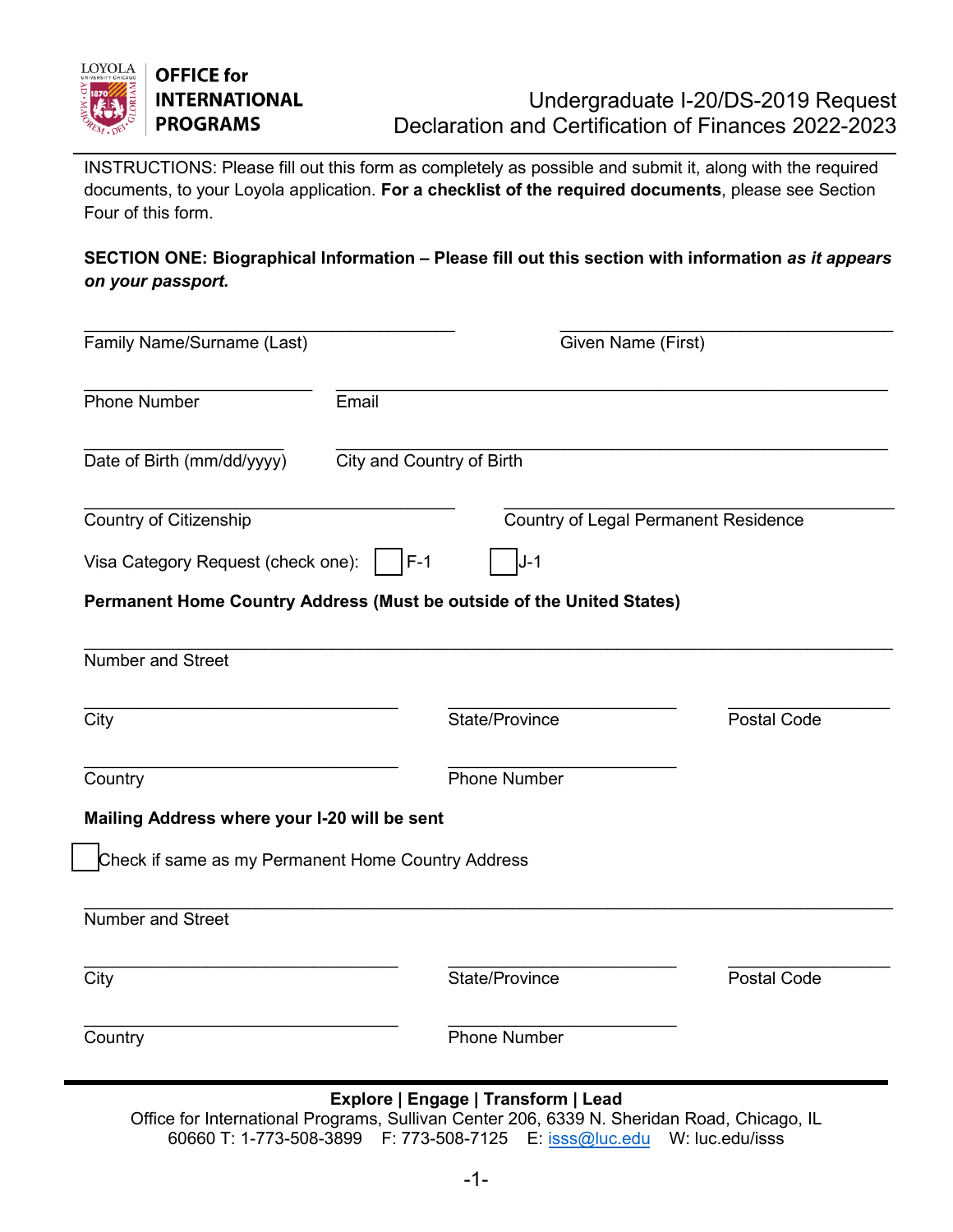

INSTRUCTIONS: Please fill out this form as completely as possible and submit it, along with the required documents, to your Loyola application. **For a checklist of the required documents**, please see Section Four of this form.

# **SECTION ONE: Biographical Information – Please fill out this section with information** *as it appears on your passport***.**

| Family Name/Surname (Last)                                          | Given Name (First)                                                    |                                             |  |
|---------------------------------------------------------------------|-----------------------------------------------------------------------|---------------------------------------------|--|
| Phone Number                                                        | Email                                                                 |                                             |  |
| Date of Birth (mm/dd/yyyy)                                          | City and Country of Birth                                             |                                             |  |
| <b>Country of Citizenship</b><br>Visa Category Request (check one): | $F-1$<br>J-1                                                          | <b>Country of Legal Permanent Residence</b> |  |
|                                                                     | Permanent Home Country Address (Must be outside of the United States) |                                             |  |
| <b>Number and Street</b>                                            |                                                                       |                                             |  |
| City                                                                | State/Province                                                        | <b>Postal Code</b>                          |  |
| Country                                                             | <b>Phone Number</b>                                                   |                                             |  |
| Mailing Address where your I-20 will be sent                        |                                                                       |                                             |  |
| Check if same as my Permanent Home Country Address                  |                                                                       |                                             |  |
| <b>Number and Street</b>                                            |                                                                       |                                             |  |
| City                                                                | State/Province                                                        | <b>Postal Code</b>                          |  |
| Country                                                             | <b>Phone Number</b>                                                   |                                             |  |

# **Explore | Engage | Transform | Lead**

Office for International Programs, Sullivan Center 206, 6339 N. Sheridan Road, Chicago, IL 60660 T: 1-773-508-3899 F: 773-508-7125 E: iss[s@luc.edu](mailto:iss@luc.edu) W: luc.edu/isss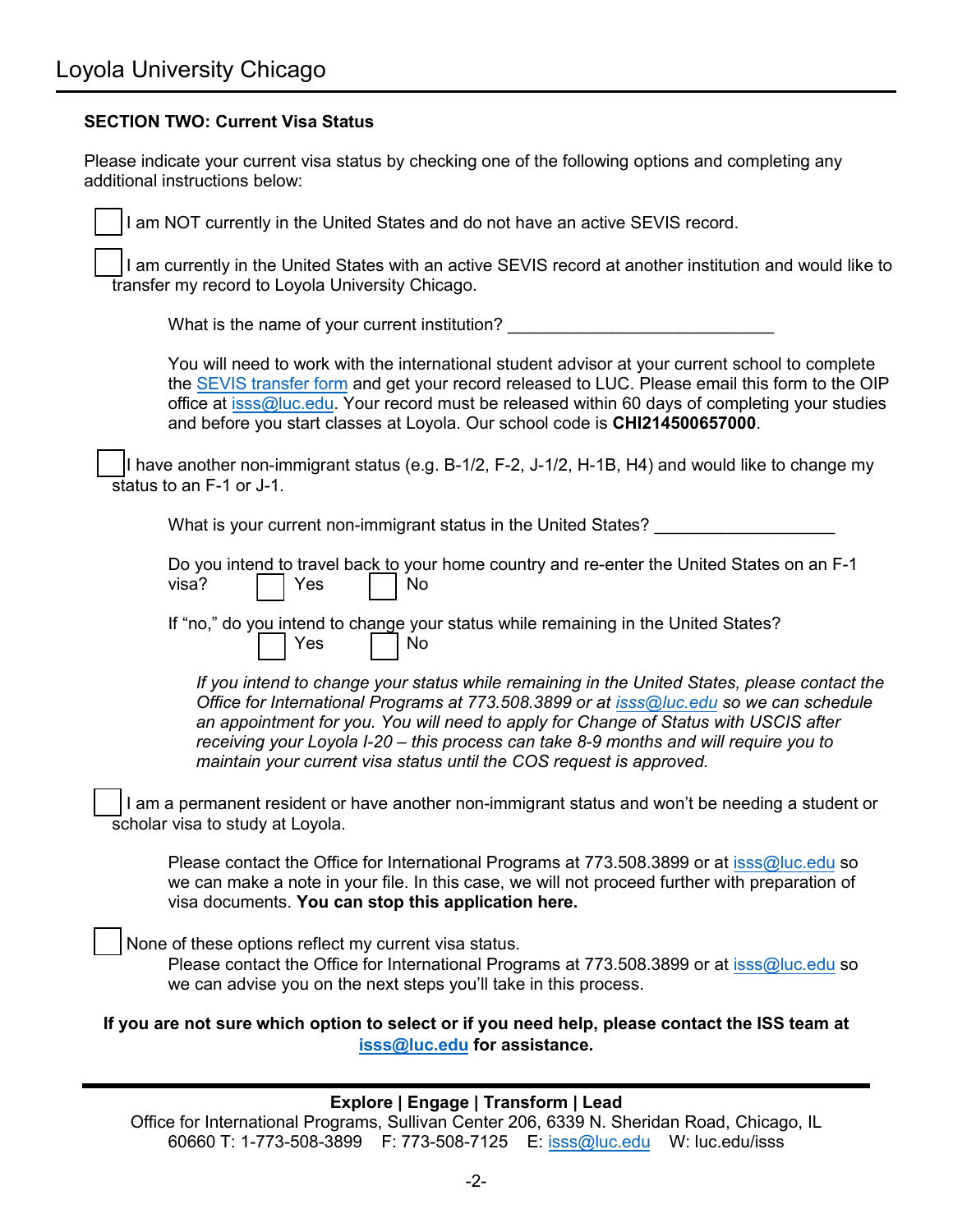### **SECTION TWO: Current Visa Status**

Please indicate your current visa status by checking one of the following options and completing any additional instructions below:

I am NOT currently in the United States and do not have an active SEVIS record.

⃞ I am currently in the United States with an active SEVIS record at another institution and would like to transfer my record to Loyola University Chicago.

What is the name of your current institution?

You will need to work with the international student advisor at your current school to complete the SEVIS [transfer form](https://luc.edu/iss/forms.shtml) and get your record released to LUC. Please email this form to the OIP office at isss[@luc.edu.](mailto:iss@luc.edu) Your record must be released within 60 days of completing your studies and before you start classes at Loyola. Our school code is **CHI214500657000**.

⃞ I have another non-immigrant status (e.g. B-1/2, F-2, J-1/2, H-1B, H4) and would like to change my status to an F-1 or J-1.

What is your current non-immigrant status in the United States?

|                              |  | Do you intend to travel back to your home country and re-enter the United States on an F-1 |  |
|------------------------------|--|--------------------------------------------------------------------------------------------|--|
| $visa?$ $\Box$ Yes $\Box$ No |  |                                                                                            |  |

If "no," do you intend to change your status while remaining in the United States? Yes | No

*If you intend to change your status while remaining in the United States, please contact the Office for International Programs at 773.508.3899 or at iss[s@luc.edu](mailto:iss@luc.edu) so we can schedule an appointment for you. You will need to apply for Change of Status with USCIS after receiving your Loyola I-20 – this process can take 8-9 months and will require you to maintain your current visa status until the COS request is approved.* 

I am a permanent resident or have another non-immigrant status and won't be needing a student or scholar visa to study at Loyola.

Please contact the Office for International Programs at 773.508.3899 or at isss[@luc.edu](mailto:iss@luc.edu) so we can make a note in your file. In this case, we will not proceed further with preparation of visa documents. **You can stop this application here.** 

None of these options reflect my current visa status.

Please contact the Office for International Programs at 773.508.3899 or at isss[@luc.edu](mailto:iss@luc.edu) so we can advise you on the next steps you'll take in this process.

**If you are not sure which option to select or if you need help, please contact the ISS team at isss[@luc.edu](mailto:iss@luc.edu) for assistance.** 

#### **Explore | Engage | Transform | Lead**

Office for International Programs, Sullivan Center 206, 6339 N. Sheridan Road, Chicago, IL 60660 T: 1-773-508-3899 F: 773-508-7125 E: isss[@luc.edu](mailto:iss@luc.edu) W: luc.edu/isss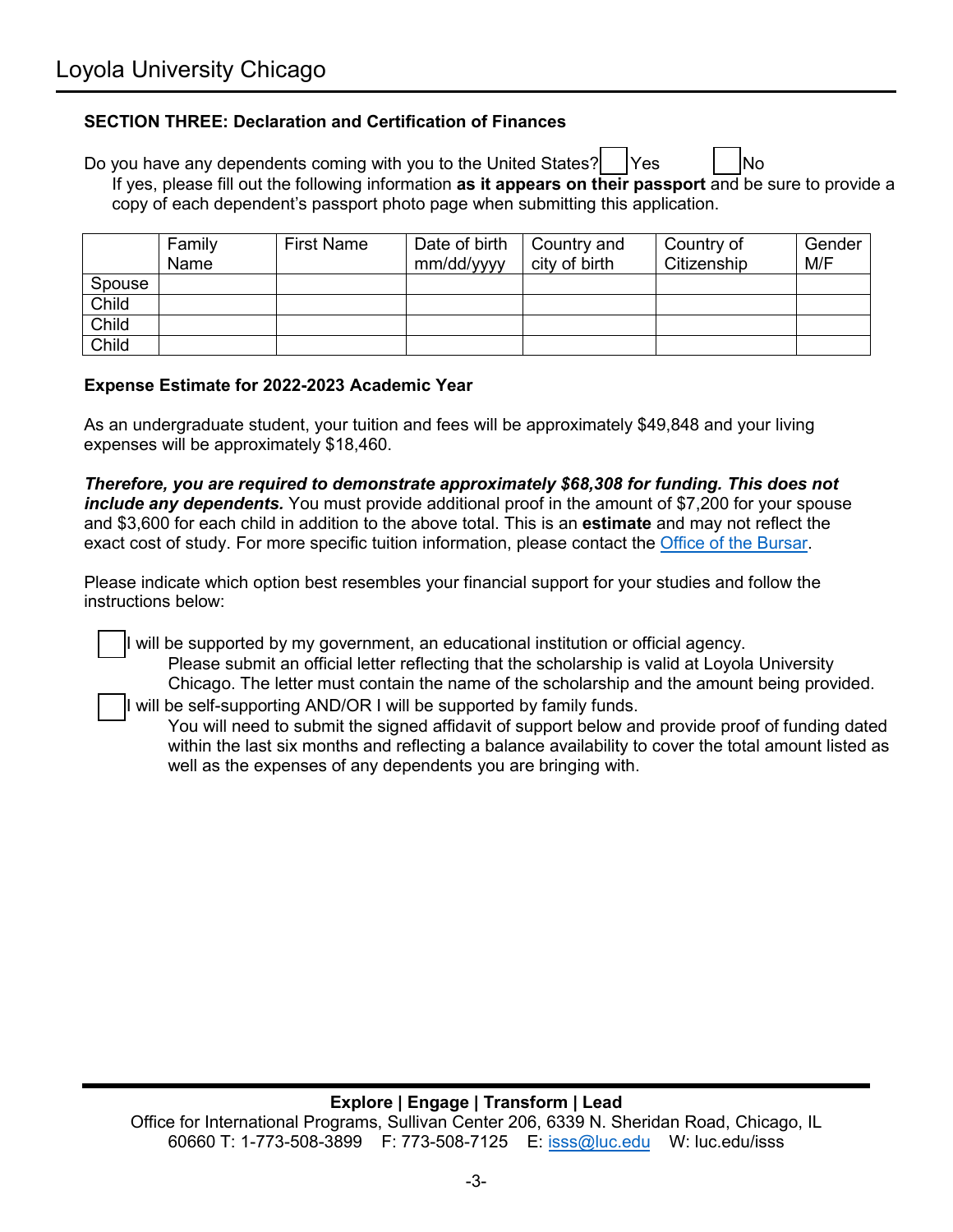### **SECTION THREE: Declaration and Certification of Finances**

Do you have any dependents coming with you to the United States?  $\vert$   $\vert$  Yes  $\vert$   $\vert$   $\vert$  No If yes, please fill out the following information **as it appears on their passport** and be sure to provide a copy of each dependent's passport photo page when submitting this application.

|        | Family<br>Name | <b>First Name</b> | Date of birth<br>mm/dd/yyyy | Country and<br>city of birth | Country of<br>Citizenship | Gender<br>M/F |
|--------|----------------|-------------------|-----------------------------|------------------------------|---------------------------|---------------|
| Spouse |                |                   |                             |                              |                           |               |
| Child  |                |                   |                             |                              |                           |               |
| Child  |                |                   |                             |                              |                           |               |
| Child  |                |                   |                             |                              |                           |               |

#### **Expense Estimate for 2022-2023 Academic Year**

As an undergraduate student, your tuition and fees will be approximately \$49,848 and your living expenses will be approximately \$18,460.

*Therefore, you are required to demonstrate approximately \$68,308 for funding. This does not include any dependents.* You must provide additional proof in the amount of \$7,200 for your spouse and \$3,600 for each child in addition to the above total. This is an **estimate** and may not reflect the exact cost of study. For more specific tuition information, please contact the Office of [the Bursar.](https://www.luc.edu/bursar/index.shtml)

Please indicate which option best resembles your financial support for your studies and follow the instructions below:

⃞ I will be supported by my government, an educational institution or official agency. Please submit an official letter reflecting that the scholarship is valid at Loyola University Chicago. The letter must contain the name of the scholarship and the amount being provided.

I will be self-supporting AND/OR I will be supported by family funds.

You will need to submit the signed affidavit of support below and provide proof of funding dated within the last six months and reflecting a balance availability to cover the total amount listed as well as the expenses of any dependents you are bringing with.

# **Explore | Engage | Transform | Lead**

Office for International Programs, Sullivan Center 206, 6339 N. Sheridan Road, Chicago, IL 60660 T: 1-773-508-3899 F: 773-508-7125 E: iss[s@luc.edu](mailto:iss@luc.edu) W: luc.edu/isss